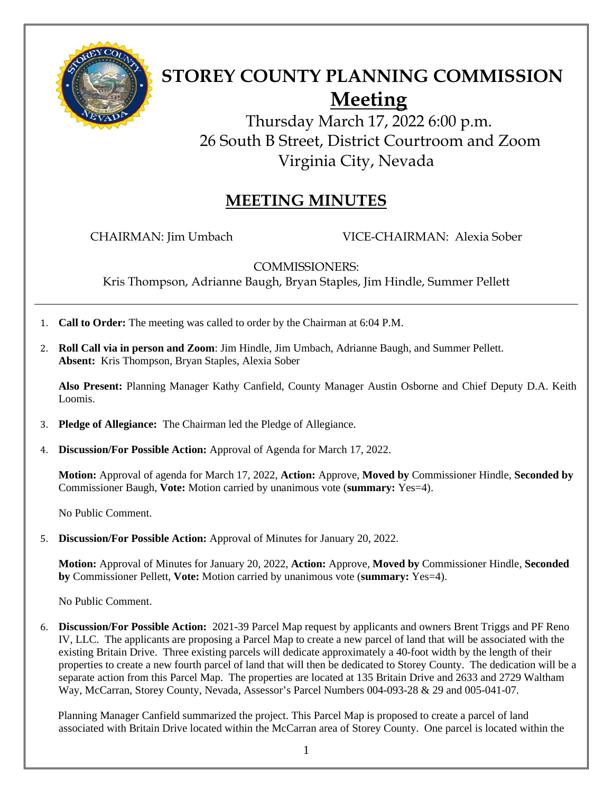

# **STOREY COUNTY PLANNING COMMISSION Meeting**

Thursday March 17, 2022 6:00 p.m. 26 South B Street, District Courtroom and Zoom Virginia City, Nevada

## **MEETING MINUTES**

CHAIRMAN: Jim Umbach VICE-CHAIRMAN: Alexia Sober

COMMISSIONERS:

Kris Thompson, Adrianne Baugh, Bryan Staples, Jim Hindle, Summer Pellett

- 1. **Call to Order:** The meeting was called to order by the Chairman at 6:04 P.M.
- 2. **Roll Call via in person and Zoom**: Jim Hindle, Jim Umbach, Adrianne Baugh, and Summer Pellett. **Absent:** Kris Thompson, Bryan Staples, Alexia Sober

**Also Present:** Planning Manager Kathy Canfield, County Manager Austin Osborne and Chief Deputy D.A. Keith Loomis.

- 3. **Pledge of Allegiance:** The Chairman led the Pledge of Allegiance.
- 4. **Discussion/For Possible Action:** Approval of Agenda for March 17, 2022.

**Motion:** Approval of agenda for March 17, 2022, **Action:** Approve, **Moved by** Commissioner Hindle, **Seconded by**  Commissioner Baugh, **Vote:** Motion carried by unanimous vote (**summary:** Yes=4).

No Public Comment.

5. **Discussion/For Possible Action:** Approval of Minutes for January 20, 2022.

**Motion:** Approval of Minutes for January 20, 2022, **Action:** Approve, **Moved by** Commissioner Hindle, **Seconded by** Commissioner Pellett, **Vote:** Motion carried by unanimous vote (**summary:** Yes=4).

No Public Comment.

6. **Discussion/For Possible Action:** 2021-39 Parcel Map request by applicants and owners Brent Triggs and PF Reno IV, LLC. The applicants are proposing a Parcel Map to create a new parcel of land that will be associated with the existing Britain Drive. Three existing parcels will dedicate approximately a 40-foot width by the length of their properties to create a new fourth parcel of land that will then be dedicated to Storey County. The dedication will be a separate action from this Parcel Map. The properties are located at 135 Britain Drive and 2633 and 2729 Waltham Way, McCarran, Storey County, Nevada, Assessor's Parcel Numbers 004-093-28 & 29 and 005-041-07.

 Planning Manager Canfield summarized the project. This Parcel Map is proposed to create a parcel of land associated with Britain Drive located within the McCarran area of Storey County. One parcel is located within the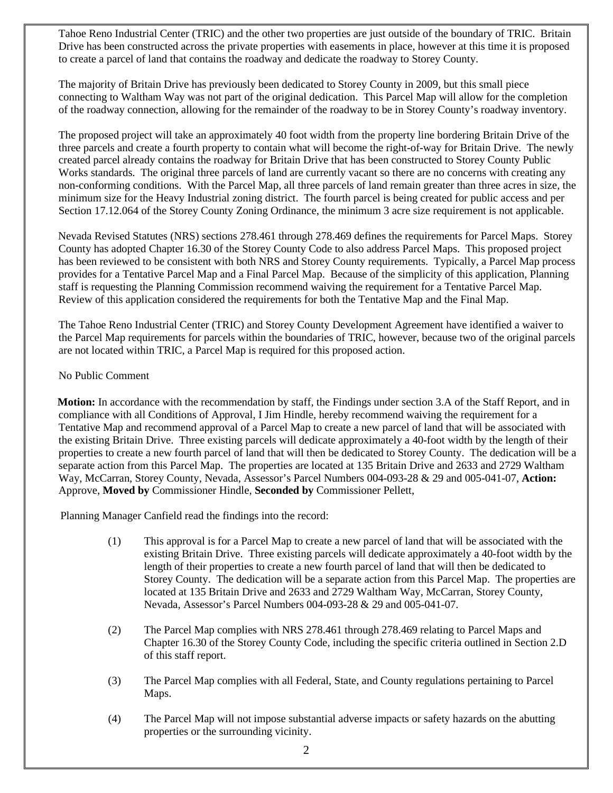Tahoe Reno Industrial Center (TRIC) and the other two properties are just outside of the boundary of TRIC. Britain Drive has been constructed across the private properties with easements in place, however at this time it is proposed to create a parcel of land that contains the roadway and dedicate the roadway to Storey County.

The majority of Britain Drive has previously been dedicated to Storey County in 2009, but this small piece connecting to Waltham Way was not part of the original dedication. This Parcel Map will allow for the completion of the roadway connection, allowing for the remainder of the roadway to be in Storey County's roadway inventory.

The proposed project will take an approximately 40 foot width from the property line bordering Britain Drive of the three parcels and create a fourth property to contain what will become the right-of-way for Britain Drive. The newly created parcel already contains the roadway for Britain Drive that has been constructed to Storey County Public Works standards. The original three parcels of land are currently vacant so there are no concerns with creating any non-conforming conditions. With the Parcel Map, all three parcels of land remain greater than three acres in size, the minimum size for the Heavy Industrial zoning district. The fourth parcel is being created for public access and per Section 17.12.064 of the Storey County Zoning Ordinance, the minimum 3 acre size requirement is not applicable.

 Nevada Revised Statutes (NRS) sections 278.461 through 278.469 defines the requirements for Parcel Maps. Storey County has adopted Chapter 16.30 of the Storey County Code to also address Parcel Maps. This proposed project has been reviewed to be consistent with both NRS and Storey County requirements. Typically, a Parcel Map process provides for a Tentative Parcel Map and a Final Parcel Map. Because of the simplicity of this application, Planning staff is requesting the Planning Commission recommend waiving the requirement for a Tentative Parcel Map. Review of this application considered the requirements for both the Tentative Map and the Final Map.

The Tahoe Reno Industrial Center (TRIC) and Storey County Development Agreement have identified a waiver to the Parcel Map requirements for parcels within the boundaries of TRIC, however, because two of the original parcels are not located within TRIC, a Parcel Map is required for this proposed action.

#### No Public Comment

 **Motion:** In accordance with the recommendation by staff, the Findings under section 3.A of the Staff Report, and in compliance with all Conditions of Approval, I Jim Hindle, hereby recommend waiving the requirement for a Tentative Map and recommend approval of a Parcel Map to create a new parcel of land that will be associated with the existing Britain Drive. Three existing parcels will dedicate approximately a 40-foot width by the length of their properties to create a new fourth parcel of land that will then be dedicated to Storey County. The dedication will be a separate action from this Parcel Map. The properties are located at 135 Britain Drive and 2633 and 2729 Waltham Way, McCarran, Storey County, Nevada, Assessor's Parcel Numbers 004-093-28 & 29 and 005-041-07, **Action:**  Approve, **Moved by** Commissioner Hindle, **Seconded by** Commissioner Pellett,

Planning Manager Canfield read the findings into the record:

- (1) This approval is for a Parcel Map to create a new parcel of land that will be associated with the existing Britain Drive. Three existing parcels will dedicate approximately a 40-foot width by the length of their properties to create a new fourth parcel of land that will then be dedicated to Storey County. The dedication will be a separate action from this Parcel Map. The properties are located at 135 Britain Drive and 2633 and 2729 Waltham Way, McCarran, Storey County, Nevada, Assessor's Parcel Numbers 004-093-28 & 29 and 005-041-07.
- (2) The Parcel Map complies with NRS 278.461 through 278.469 relating to Parcel Maps and Chapter 16.30 of the Storey County Code, including the specific criteria outlined in Section 2.D of this staff report.
- (3) The Parcel Map complies with all Federal, State, and County regulations pertaining to Parcel Maps.
- (4) The Parcel Map will not impose substantial adverse impacts or safety hazards on the abutting properties or the surrounding vicinity.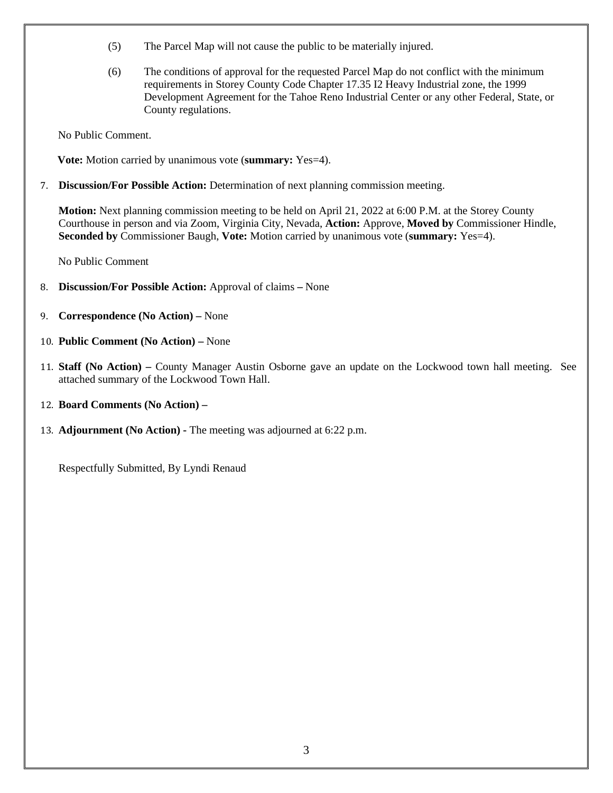- (5) The Parcel Map will not cause the public to be materially injured.
- (6) The conditions of approval for the requested Parcel Map do not conflict with the minimum requirements in Storey County Code Chapter 17.35 I2 Heavy Industrial zone, the 1999 Development Agreement for the Tahoe Reno Industrial Center or any other Federal, State, or County regulations.

No Public Comment.

 **Vote:** Motion carried by unanimous vote (**summary:** Yes=4).

7. **Discussion/For Possible Action:** Determination of next planning commission meeting.

**Motion:** Next planning commission meeting to be held on April 21, 2022 at 6:00 P.M. at the Storey County Courthouse in person and via Zoom, Virginia City, Nevada, **Action:** Approve, **Moved by** Commissioner Hindle, **Seconded by** Commissioner Baugh, **Vote:** Motion carried by unanimous vote (**summary:** Yes=4).

No Public Comment

- 8. **Discussion/For Possible Action:** Approval of claimsNone
- 9. **Correspondence (No Action)** None
- 10. **Public Comment (No Action)** None
- 11. **Staff (No Action)** County Manager Austin Osborne gave an update on the Lockwood town hall meeting. See attached summary of the Lockwood Town Hall.
- 12. **Board Comments (No Action) –**
- 13. **Adjournment (No Action)** The meeting was adjourned at 6:22 p.m.

Respectfully Submitted, By Lyndi Renaud